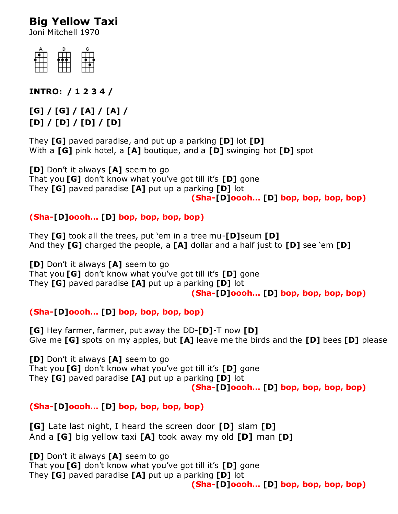# **Big Yellow Taxi**

Joni Mitchell 1970



**INTRO: / 1 2 3 4 /**

## **[G] / [G] / [A] / [A] / [D] / [D] / [D] / [D]**

They **[G]** paved paradise, and put up a parking **[D]** lot **[D]** With a **[G]** pink hotel, a **[A]** boutique, and a **[D]** swinging hot **[D]** spot

**[D]** Don't it always **[A]** seem to go That you **[G]** don't know what you've got till it's **[D]** gone They **[G]** paved paradise **[A]** put up a parking **[D]** lot **(Sha-[D]oooh… [D] bop, bop, bop, bop)**

## **(Sha-[D]oooh… [D] bop, bop, bop, bop)**

They **[G]** took all the trees, put 'em in a tree mu-**[D]**seum **[D]** And they **[G]** charged the people, a **[A]** dollar and a half just to **[D]** see 'em **[D]**

**[D]** Don't it always **[A]** seem to go That you **[G]** don't know what you've got till it's **[D]** gone They **[G]** paved paradise **[A]** put up a parking **[D]** lot **(Sha-[D]oooh… [D] bop, bop, bop, bop)**

### **(Sha-[D]oooh… [D] bop, bop, bop, bop)**

**[G]** Hey farmer, farmer, put away the DD-**[D]**-T now **[D]** Give me **[G]** spots on my apples, but **[A]** leave me the birds and the **[D]** bees **[D]** please

**[D]** Don't it always **[A]** seem to go That you **[G]** don't know what you've got till it's **[D]** gone They **[G]** paved paradise **[A]** put up a parking **[D]** lot **(Sha-[D]oooh… [D] bop, bop, bop, bop)**

### **(Sha-[D]oooh… [D] bop, bop, bop, bop)**

**[G]** Late last night, I heard the screen door **[D]** slam **[D]** And a **[G]** big yellow taxi **[A]** took away my old **[D]** man **[D]**

**[D]** Don't it always **[A]** seem to go

That you **[G]** don't know what you've got till it's **[D]** gone They **[G]** paved paradise **[A]** put up a parking **[D]** lot

**(Sha-[D]oooh… [D] bop, bop, bop, bop)**